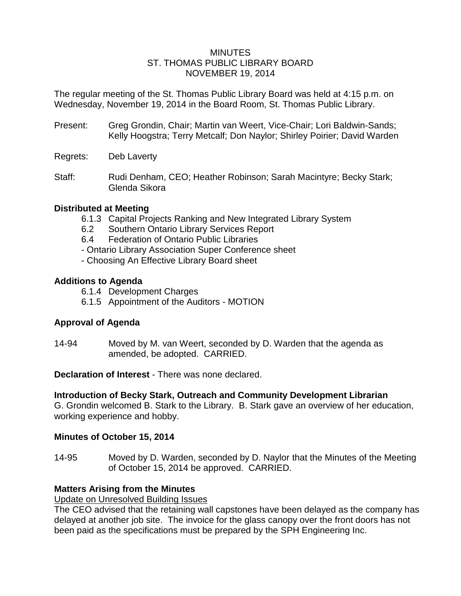## **MINUTES** ST. THOMAS PUBLIC LIBRARY BOARD NOVEMBER 19, 2014

The regular meeting of the St. Thomas Public Library Board was held at 4:15 p.m. on Wednesday, November 19, 2014 in the Board Room, St. Thomas Public Library.

Present: Greg Grondin, Chair; Martin van Weert, Vice-Chair; Lori Baldwin-Sands; Kelly Hoogstra; Terry Metcalf; Don Naylor; Shirley Poirier; David Warden

Regrets: Deb Laverty

Staff: Rudi Denham, CEO; Heather Robinson; Sarah Macintyre; Becky Stark; Glenda Sikora

# **Distributed at Meeting**

- 6.1.3 Capital Projects Ranking and New Integrated Library System
- 6.2 Southern Ontario Library Services Report
- 6.4 Federation of Ontario Public Libraries
- Ontario Library Association Super Conference sheet
- Choosing An Effective Library Board sheet

# **Additions to Agenda**

- 6.1.4 Development Charges
- 6.1.5 Appointment of the Auditors MOTION

# **Approval of Agenda**

14-94 Moved by M. van Weert, seconded by D. Warden that the agenda as amended, be adopted. CARRIED.

**Declaration of Interest** - There was none declared.

# **Introduction of Becky Stark, Outreach and Community Development Librarian**

G. Grondin welcomed B. Stark to the Library. B. Stark gave an overview of her education, working experience and hobby.

# **Minutes of October 15, 2014**

14-95 Moved by D. Warden, seconded by D. Naylor that the Minutes of the Meeting of October 15, 2014 be approved. CARRIED.

# **Matters Arising from the Minutes**

Update on Unresolved Building Issues

The CEO advised that the retaining wall capstones have been delayed as the company has delayed at another job site. The invoice for the glass canopy over the front doors has not been paid as the specifications must be prepared by the SPH Engineering Inc.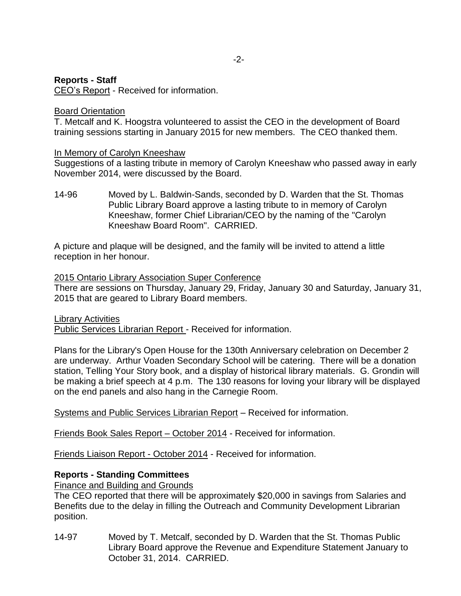# **Reports - Staff**

CEO's Report - Received for information.

## Board Orientation

T. Metcalf and K. Hoogstra volunteered to assist the CEO in the development of Board training sessions starting in January 2015 for new members. The CEO thanked them.

## In Memory of Carolyn Kneeshaw

Suggestions of a lasting tribute in memory of Carolyn Kneeshaw who passed away in early November 2014, were discussed by the Board.

14-96 Moved by L. Baldwin-Sands, seconded by D. Warden that the St. Thomas Public Library Board approve a lasting tribute to in memory of Carolyn Kneeshaw, former Chief Librarian/CEO by the naming of the "Carolyn Kneeshaw Board Room". CARRIED.

A picture and plaque will be designed, and the family will be invited to attend a little reception in her honour.

### 2015 Ontario Library Association Super Conference

There are sessions on Thursday, January 29, Friday, January 30 and Saturday, January 31, 2015 that are geared to Library Board members.

### Library Activities

Public Services Librarian Report - Received for information.

Plans for the Library's Open House for the 130th Anniversary celebration on December 2 are underway. Arthur Voaden Secondary School will be catering. There will be a donation station, Telling Your Story book, and a display of historical library materials. G. Grondin will be making a brief speech at 4 p.m. The 130 reasons for loving your library will be displayed on the end panels and also hang in the Carnegie Room.

Systems and Public Services Librarian Report – Received for information.

Friends Book Sales Report – October 2014 - Received for information.

Friends Liaison Report - October 2014 - Received for information.

# **Reports - Standing Committees**

Finance and Building and Grounds

The CEO reported that there will be approximately \$20,000 in savings from Salaries and Benefits due to the delay in filling the Outreach and Community Development Librarian position.

14-97 Moved by T. Metcalf, seconded by D. Warden that the St. Thomas Public Library Board approve the Revenue and Expenditure Statement January to October 31, 2014. CARRIED.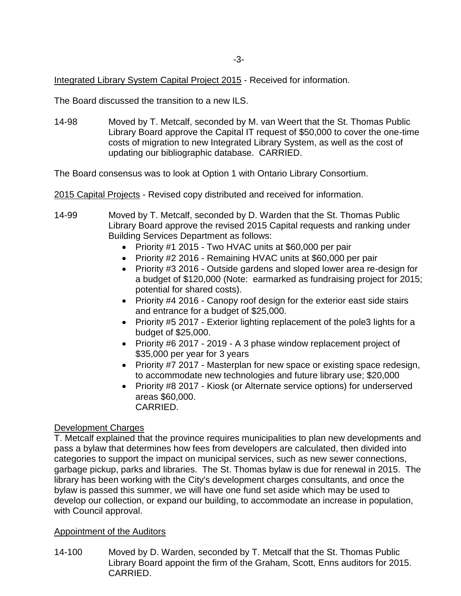Integrated Library System Capital Project 2015 - Received for information.

The Board discussed the transition to a new ILS.

14-98 Moved by T. Metcalf, seconded by M. van Weert that the St. Thomas Public Library Board approve the Capital IT request of \$50,000 to cover the one-time costs of migration to new Integrated Library System, as well as the cost of updating our bibliographic database. CARRIED.

The Board consensus was to look at Option 1 with Ontario Library Consortium.

2015 Capital Projects - Revised copy distributed and received for information.

- 14-99 Moved by T. Metcalf, seconded by D. Warden that the St. Thomas Public Library Board approve the revised 2015 Capital requests and ranking under Building Services Department as follows:
	- Priority #1 2015 Two HVAC units at \$60,000 per pair
	- Priority #2 2016 Remaining HVAC units at \$60,000 per pair
	- Priority #3 2016 Outside gardens and sloped lower area re-design for a budget of \$120,000 (Note: earmarked as fundraising project for 2015; potential for shared costs).
	- Priority #4 2016 Canopy roof design for the exterior east side stairs and entrance for a budget of \$25,000.
	- Priority #5 2017 Exterior lighting replacement of the pole3 lights for a budget of \$25,000.
	- Priority #6 2017 2019 A 3 phase window replacement project of \$35,000 per year for 3 years
	- Priority #7 2017 Masterplan for new space or existing space redesign, to accommodate new technologies and future library use; \$20,000
	- Priority #8 2017 Kiosk (or Alternate service options) for underserved areas \$60,000.

CARRIED.

### Development Charges

T. Metcalf explained that the province requires municipalities to plan new developments and pass a bylaw that determines how fees from developers are calculated, then divided into categories to support the impact on municipal services, such as new sewer connections, garbage pickup, parks and libraries. The St. Thomas bylaw is due for renewal in 2015. The library has been working with the City's development charges consultants, and once the bylaw is passed this summer, we will have one fund set aside which may be used to develop our collection, or expand our building, to accommodate an increase in population, with Council approval.

# Appointment of the Auditors

14-100 Moved by D. Warden, seconded by T. Metcalf that the St. Thomas Public Library Board appoint the firm of the Graham, Scott, Enns auditors for 2015. CARRIED.